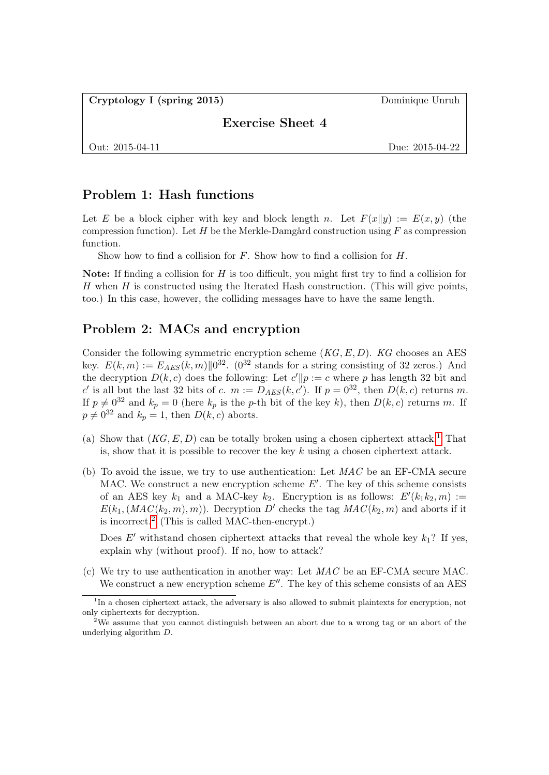Cryptology I (spring 2015) Dominique Unruh

Exercise Sheet 4

Out: 2015-04-11 Due: 2015-04-22

## Problem 1: Hash functions

Let E be a block cipher with key and block length n. Let  $F(x||y) := E(x, y)$  (the compression function). Let H be the Merkle-Damgård construction using  $F$  as compression function.

Show how to find a collision for  $F$ . Show how to find a collision for  $H$ .

Note: If finding a collision for H is too difficult, you might first try to find a collision for  $H$  when  $H$  is constructed using the Iterated Hash construction. (This will give points, too.) In this case, however, the colliding messages have to have the same length.

## Problem 2: MACs and encryption

Consider the following symmetric encryption scheme  $(KG, E, D)$ . KG chooses an AES key.  $E(k,m) := E_{AES}(k,m) \| 0^{32}$ . (0<sup>32</sup> stands for a string consisting of 32 zeros.) And the decryption  $D(k, c)$  does the following: Let  $c' || p := c$  where p has length 32 bit and c' is all but the last 32 bits of c.  $m := D_{AES}(k, c')$ . If  $p = 0^{32}$ , then  $D(k, c)$  returns m. If  $p \neq 0^{32}$  and  $k_p = 0$  (here  $k_p$  is the p-th bit of the key k), then  $D(k, c)$  returns m. If  $p \neq 0^{32}$  and  $k_p = 1$ , then  $D(k, c)$  aborts.

- (a) Show that  $(KG, E, D)$  can be totally broken using a chosen ciphertext attack.<sup>[1](#page-0-0)</sup> That is, show that it is possible to recover the key  $k$  using a chosen ciphertext attack.
- <span id="page-0-2"></span>(b) To avoid the issue, we try to use authentication: Let  $MAC$  be an EF-CMA secure MAC. We construct a new encryption scheme  $E'$ . The key of this scheme consists of an AES key  $k_1$  and a MAC-key  $k_2$ . Encryption is as follows:  $E'(k_1k_2, m) :=$  $E(k_1,(MAC(k_2,m), m))$ . Decryption D' checks the tag  $MAC(k_2, m)$  and aborts if it is incorrect.[2](#page-0-1) (This is called MAC-then-encrypt.)

Does E' withstand chosen ciphertext attacks that reveal the whole key  $k_1$ ? If yes, explain why (without proof). If no, how to attack?

<span id="page-0-3"></span>(c) We try to use authentication in another way: Let MAC be an EF-CMA secure MAC. We construct a new encryption scheme  $E''$ . The key of this scheme consists of an AES

<span id="page-0-0"></span><sup>&</sup>lt;sup>1</sup>In a chosen ciphertext attack, the adversary is also allowed to submit plaintexts for encryption, not only ciphertexts for decryption.

<span id="page-0-1"></span><sup>2</sup>We assume that you cannot distinguish between an abort due to a wrong tag or an abort of the underlying algorithm D.